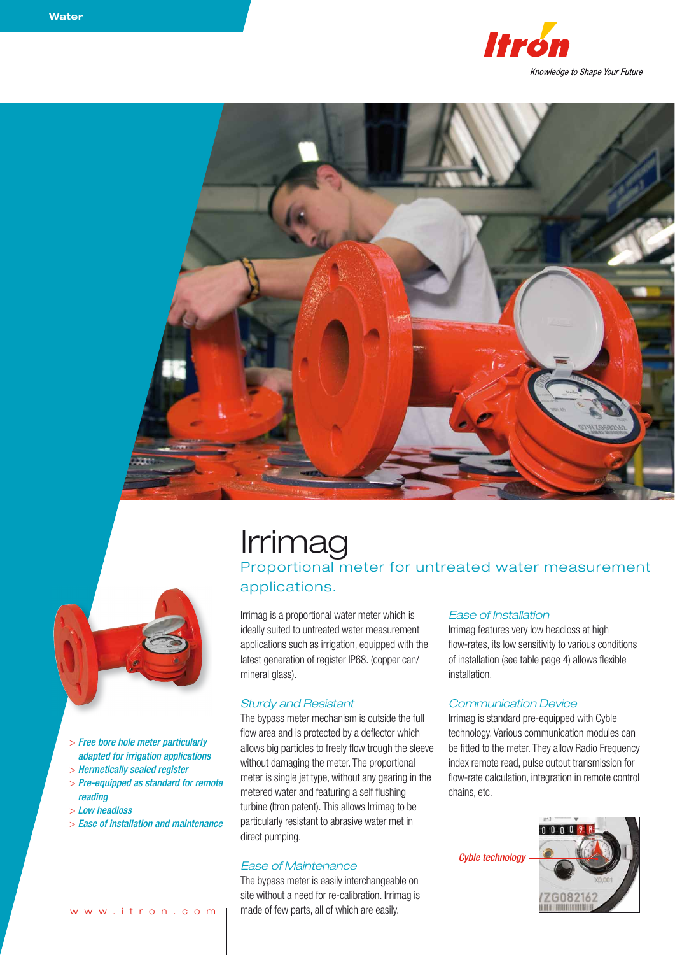







- > *Free bore hole meter particularly adapted for irrigation applications*
- > *Hermetically sealed register*
- > *Pre-equipped as standard for remote reading*
- > *Low headloss*
- > *Ease of installation and maintenance*

# Irrimag

Proportional meter for untreated water measurement applications.

Irrimag is a proportional water meter which is ideally suited to untreated water measurement applications such as irrigation, equipped with the latest generation of register IP68. (copper can/ mineral glass).

#### *Sturdy and Resistant*

The bypass meter mechanism is outside the full flow area and is protected by a deflector which allows big particles to freely flow trough the sleeve without damaging the meter. The proportional meter is single jet type, without any gearing in the metered water and featuring a self flushing turbine (Itron patent). This allows Irrimag to be particularly resistant to abrasive water met in direct pumping.

#### *Ease of Maintenance*

The bypass meter is easily interchangeable on site without a need for re-calibration. Irrimag is made of few parts, all of which are easily.

#### *Ease of Installation*

Irrimag features very low headloss at high flow-rates, its low sensitivity to various conditions of installation (see table page 4) allows flexible installation.

#### *Communication Device*

Irrimag is standard pre-equipped with Cyble technology. Various communication modules can be fitted to the meter. They allow Radio Frequency index remote read, pulse output transmission for flow-rate calculation, integration in remote control chains, etc.

*Cyble technology*

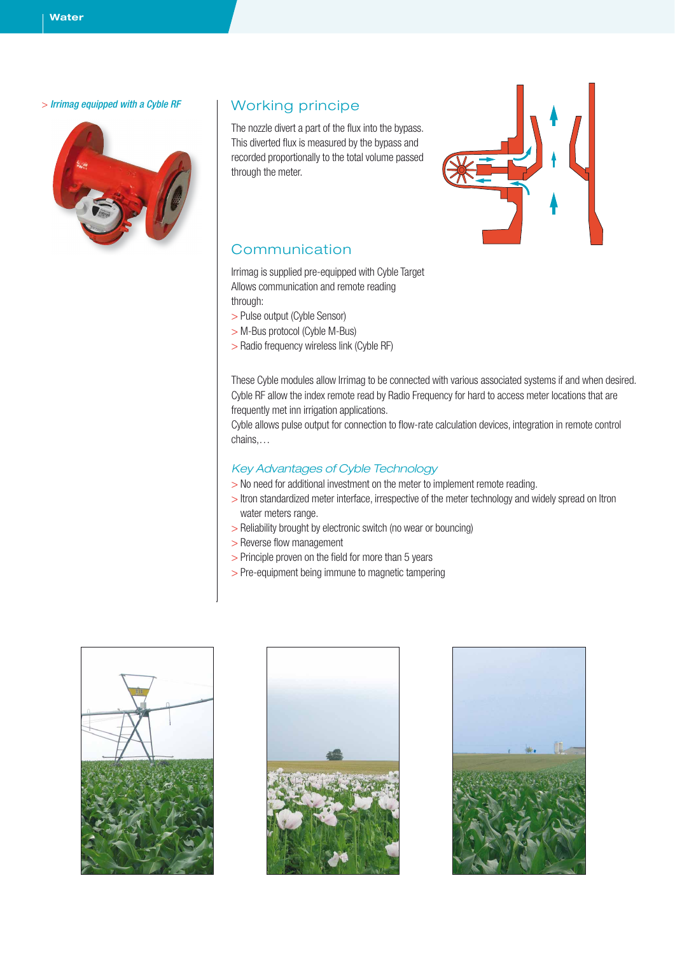#### > *Irrimag equipped with a Cyble RF*



#### Working principe

The nozzle divert a part of the flux into the bypass. This diverted flux is measured by the bypass and recorded proportionally to the total volume passed through the meter.



#### Communication

Irrimag is supplied pre-equipped with Cyble Target Allows communication and remote reading through:

- > Pulse output (Cyble Sensor)
- > M-Bus protocol (Cyble M-Bus)
- > Radio frequency wireless link (Cyble RF)

These Cyble modules allow Irrimag to be connected with various associated systems if and when desired. Cyble RF allow the index remote read by Radio Frequency for hard to access meter locations that are frequently met inn irrigation applications.

Cyble allows pulse output for connection to flow-rate calculation devices, integration in remote control chains,…

#### *Key Advantages of Cyble Technology*

- > No need for additional investment on the meter to implement remote reading.
- > Itron standardized meter interface, irrespective of the meter technology and widely spread on Itron water meters range.
- > Reliability brought by electronic switch (no wear or bouncing)
- > Reverse flow management
- > Principle proven on the field for more than 5 years
- > Pre-equipment being immune to magnetic tampering





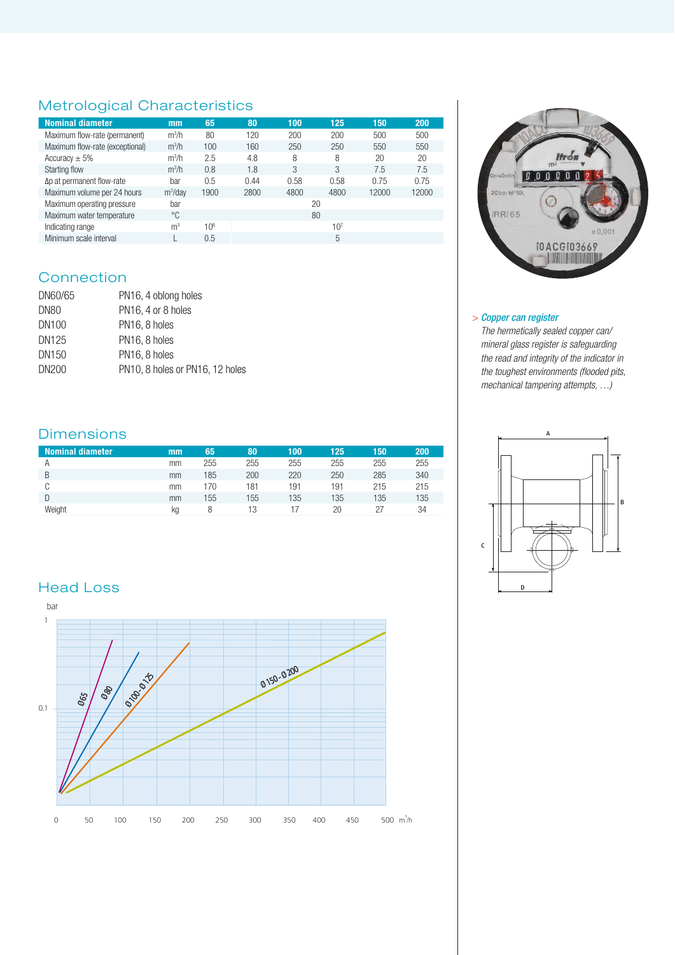# Metrological Characteristics

| <b>Nominal diameter</b>           | mm             | 65   | 80   | 100  | 125             | 150   | 200   |  |
|-----------------------------------|----------------|------|------|------|-----------------|-------|-------|--|
| Maximum flow-rate (permanent)     | $m^3/h$        | 80   | 120  | 200  | 200             | 500   | 500   |  |
| Maximum flow-rate (exceptional)   | $m^3/h$        | 100  | 160  | 250  | 250             | 550   | 550   |  |
| Accuracy $\pm$ 5%                 | $m^3/h$        | 2.5  | 4.8  | 8    | 8               | 20    | 20    |  |
| Starting flow                     | $m^3/h$        | 0.8  | 1.8  | 3    | 3               | 7.5   | 7.5   |  |
| $\Delta p$ at permanent flow-rate | bar            | 0.5  | 0.44 | 0.58 | 0.58            | 0.75  | 0.75  |  |
| Maximum volume per 24 hours       | $m^3$ /dav     | 1900 | 2800 | 4800 | 4800            | 12000 | 12000 |  |
| Maximum operating pressure        | bar            |      | 20   |      |                 |       |       |  |
| Maximum water temperature         | °C             |      | 80   |      |                 |       |       |  |
| Indicating range                  | m <sup>3</sup> | 106  |      |      | 10 <sup>7</sup> |       |       |  |
| Minimum scale interval            |                | 0.5  | 5    |      |                 |       |       |  |

## **Connection**

| DN60/65 | PN16, 4 oblong holes            |
|---------|---------------------------------|
| DN80    | PN16, 4 or 8 holes              |
| DN100   | PN <sub>16</sub> , 8 holes      |
| DN125   | PN <sub>16</sub> , 8 holes      |
| DN150   | PN16, 8 holes                   |
| DN200   | PN10, 8 holes or PN16, 12 holes |

### Dimensions

| <b>Nominal diameter</b> | mm | 65  | 80  | 100 | 125 | 150 | 200 |
|-------------------------|----|-----|-----|-----|-----|-----|-----|
|                         | mm | 255 | 255 | 255 | 255 | 255 | 255 |
| B                       | mm | 185 | 200 | 220 | 250 | 285 | 340 |
|                         | mm | 170 | 181 | 191 | 191 | 215 | 215 |
|                         | mm | 155 | 155 | 135 | 135 | 135 | 135 |
| Weiaht                  | kg |     | 13  |     | 20  |     | 34  |

## Head Loss





#### > *Copper can register*

*The hermetically sealed copper can/ mineral glass register is safeguarding the read and integrity of the indicator in the toughest environments (flooded pits, mechanical tampering attempts, …)*